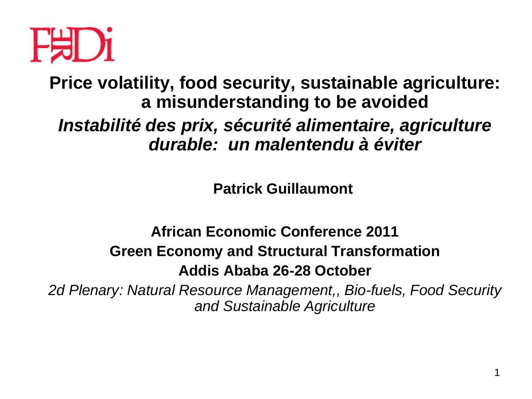

**Price volatility, food security, sustainable agriculture: a misunderstanding to be avoided** *Instabilité des prix, sécurité alimentaire, agriculture durable: un malentendu à éviter*

**Patrick Guillaumont**

# **African Economic Conference 2011 Green Economy and Structural Transformation Addis Ababa 26-28 October**

*2d Plenary: Natural Resource Management,, Bio-fuels, Food Security and Sustainable Agriculture*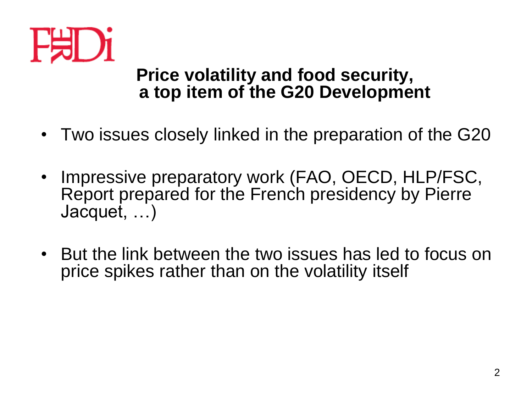

#### **Price volatility and food security, a top item of the G20 Development**

- Two issues closely linked in the preparation of the G20
- Impressive preparatory work (FAO, OECD, HLP/FSC, Report prepared for the French presidency by Pierre Jacquet, …)
- But the link between the two issues has led to focus on price spikes rather than on the volatility itself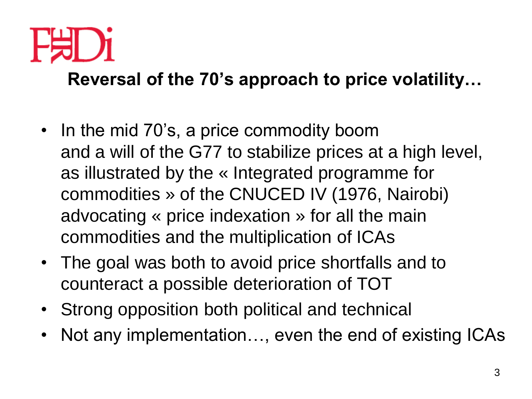

**Reversal of the 70's approach to price volatility…**

- In the mid 70's, a price commodity boom and a will of the G77 to stabilize prices at a high level, as illustrated by the « Integrated programme for commodities » of the CNUCED IV (1976, Nairobi) advocating « price indexation » for all the main commodities and the multiplication of ICAs
- The goal was both to avoid price shortfalls and to counteract a possible deterioration of TOT
- Strong opposition both political and technical
- Not any implementation…, even the end of existing ICAs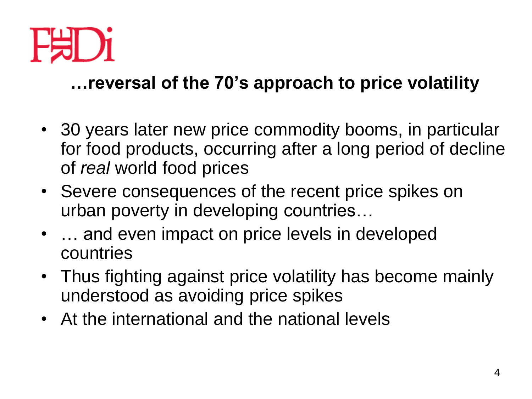

## **…reversal of the 70's approach to price volatility**

- 30 years later new price commodity booms, in particular for food products, occurring after a long period of decline of *real* world food prices
- Severe consequences of the recent price spikes on urban poverty in developing countries…
- ... and even impact on price levels in developed countries
- Thus fighting against price volatility has become mainly understood as avoiding price spikes
- At the international and the national levels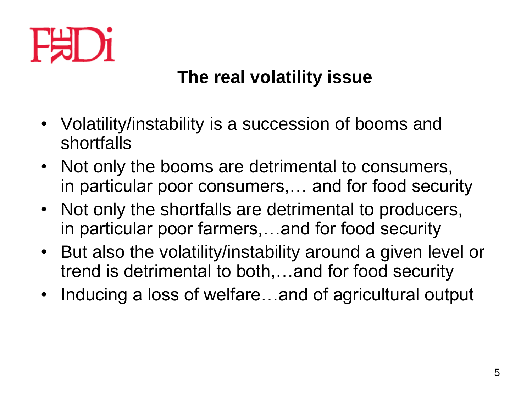

# **The real volatility issue**

- Volatility/instability is a succession of booms and shortfalls
- Not only the booms are detrimental to consumers, in particular poor consumers,… and for food security
- Not only the shortfalls are detrimental to producers, in particular poor farmers,…and for food security
- But also the volatility/instability around a given level or trend is detrimental to both,…and for food security
- Inducing a loss of welfare…and of agricultural output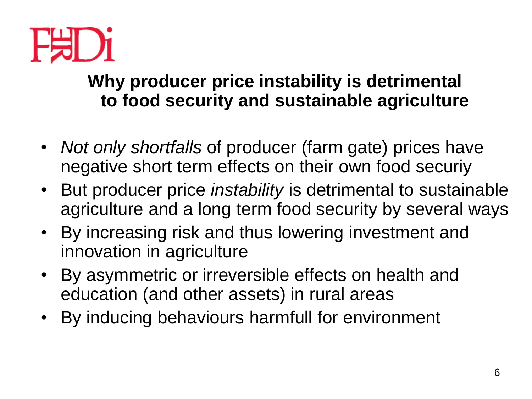

## **Why producer price instability is detrimental to food security and sustainable agriculture**

- *Not only shortfalls* of producer (farm gate) prices have negative short term effects on their own food securiy
- But producer price *instability* is detrimental to sustainable agriculture and a long term food security by several ways
- By increasing risk and thus lowering investment and innovation in agriculture
- By asymmetric or irreversible effects on health and education (and other assets) in rural areas
- By inducing behaviours harmfull for environment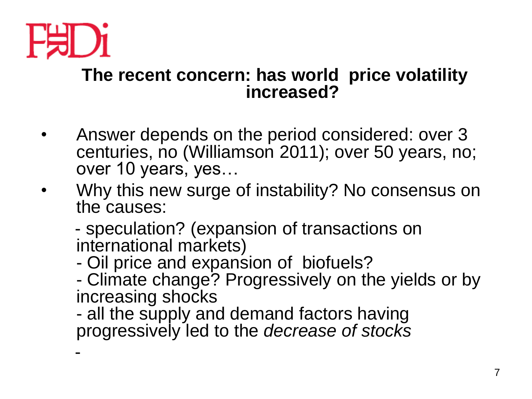

-

#### **The recent concern: has world price volatility increased?**

- Answer depends on the period considered: over 3 centuries, no (Williamson 2011); over 50 years, no; over 10 years, yes…
- Why this new surge of instability? No consensus on the causes:
	- speculation? (expansion of transactions on international markets)
	- Oil price and expansion of biofuels?
	- Climate change? Progressively on the yields or by increasing shocks
	- all the supply and demand factors having progressively led to the *decrease of stocks*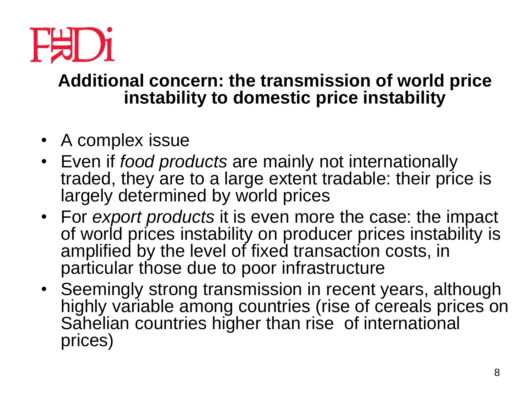

### **Additional concern: the transmission of world price instability to domestic price instability**

- A complex issue
- Even if *food products* are mainly not internationally traded, they are to a large extent tradable: their price is largely determined by world prices
- For *export products* it is even more the case: the impact of world prices instability on producer prices instability is amplified by the level of fixed transaction costs, in particular those due to poor infrastructure
- Seemingly strong transmission in recent years, although highly variable among countries (rise of cereals prices on Sahelian countries higher than rise of international prices)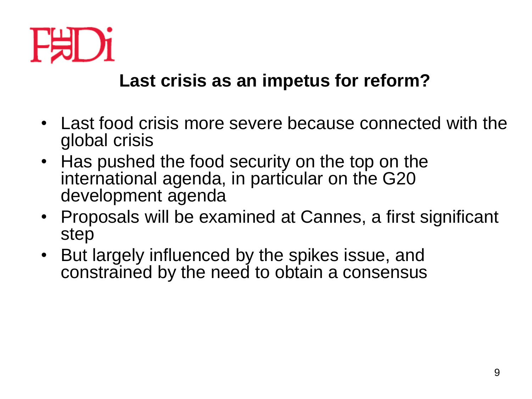

## **Last crisis as an impetus for reform?**

- Last food crisis more severe because connected with the global crisis
- Has pushed the food security on the top on the international agenda, in particular on the G20 development agenda
- Proposals will be examined at Cannes, a first significant step
- But largely influenced by the spikes issue, and constrained by the need to obtain a consensus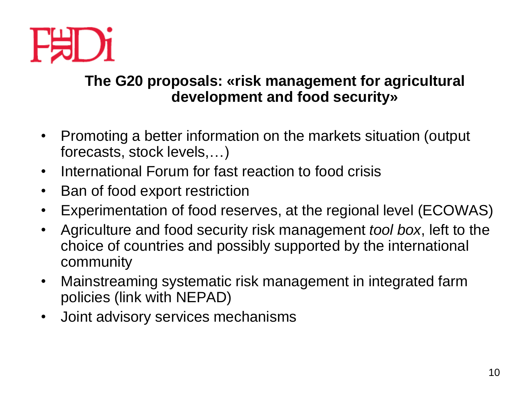

#### **The G20 proposals: «risk management for agricultural development and food security»**

- Promoting a better information on the markets situation (output forecasts, stock levels,…)
- International Forum for fast reaction to food crisis
- Ban of food export restriction
- Experimentation of food reserves, at the regional level (ECOWAS)
- Agriculture and food security risk management *tool box*, left to the choice of countries and possibly supported by the international community
- Mainstreaming systematic risk management in integrated farm policies (link with NEPAD)
- Joint advisory services mechanisms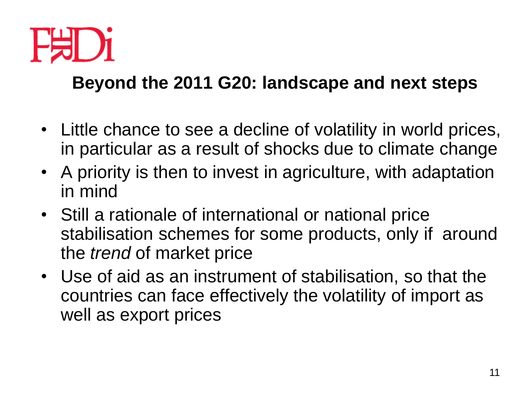

# **Beyond the 2011 G20: landscape and next steps**

- Little chance to see a decline of volatility in world prices, in particular as a result of shocks due to climate change
- A priority is then to invest in agriculture, with adaptation in mind
- Still a rationale of international or national price stabilisation schemes for some products, only if around the *trend* of market price
- Use of aid as an instrument of stabilisation, so that the countries can face effectively the volatility of import as well as export prices